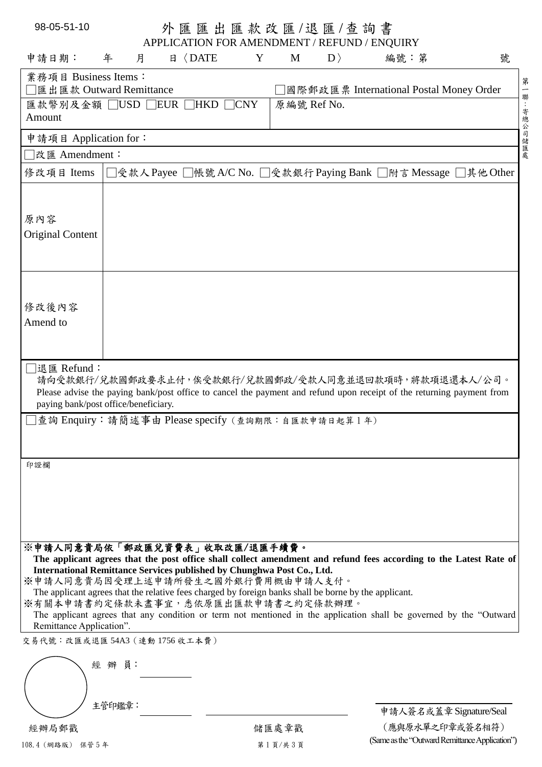| 98-05-51-10                                                                                                                                                                                                                                                                                                             |        |                                                                      | 外 匯 匯 出 匯 款 改 匯 /退 匯 /查 詢 書 |             |             |                                                                                                                                                                                                                                          |             |
|-------------------------------------------------------------------------------------------------------------------------------------------------------------------------------------------------------------------------------------------------------------------------------------------------------------------------|--------|----------------------------------------------------------------------|-----------------------------|-------------|-------------|------------------------------------------------------------------------------------------------------------------------------------------------------------------------------------------------------------------------------------------|-------------|
| 申請日期:                                                                                                                                                                                                                                                                                                                   | 年<br>月 | APPLICATION FOR AMENDMENT / REFUND / ENQUIRY<br>$\Box$ $\Box$ $\Box$ | Y                           | M           | $ D\rangle$ | 編號:第                                                                                                                                                                                                                                     | 號           |
| 業務項目 Business Items:                                                                                                                                                                                                                                                                                                    |        |                                                                      |                             |             |             |                                                                                                                                                                                                                                          |             |
| 匯出匯款 Outward Remittance                                                                                                                                                                                                                                                                                                 |        |                                                                      |                             |             |             | 國際郵政匯票 International Postal Money Order                                                                                                                                                                                                  |             |
| 匯款幣別及金額 □USD □EUR □HKD<br>Amount                                                                                                                                                                                                                                                                                        |        |                                                                      | $\neg$ CNY                  | 原編號 Ref No. |             |                                                                                                                                                                                                                                          | 第一聯:寄總公司儲匯處 |
| 申請項目 Application for:                                                                                                                                                                                                                                                                                                   |        |                                                                      |                             |             |             |                                                                                                                                                                                                                                          |             |
| □改匯 Amendment:                                                                                                                                                                                                                                                                                                          |        |                                                                      |                             |             |             |                                                                                                                                                                                                                                          |             |
| 修改項目 Items                                                                                                                                                                                                                                                                                                              |        |                                                                      |                             |             |             | □受款人 Payee □帳號 A/C No. □受款銀行 Paying Bank □附言 Message □其他 Other                                                                                                                                                                           |             |
| 原内容<br>Original Content                                                                                                                                                                                                                                                                                                 |        |                                                                      |                             |             |             |                                                                                                                                                                                                                                          |             |
| 修改後內容<br>Amend to                                                                                                                                                                                                                                                                                                       |        |                                                                      |                             |             |             |                                                                                                                                                                                                                                          |             |
| □退匯 Refund:<br>paying bank/post office/beneficiary.<br>查詢 Enquiry: 請簡述事由 Please specify (查詢期限:自匯款申請日起算1年)                                                                                                                                                                                                               |        |                                                                      |                             |             |             | 請向受款銀行/兌款國郵政要求止付,俟受款銀行/兌款國郵政/受款人同意並退回款項時,將款項退還本人/公司。<br>Please advise the paying bank/post office to cancel the payment and refund upon receipt of the returning payment from                                                            |             |
|                                                                                                                                                                                                                                                                                                                         |        |                                                                      |                             |             |             |                                                                                                                                                                                                                                          |             |
| 印證欄                                                                                                                                                                                                                                                                                                                     |        |                                                                      |                             |             |             |                                                                                                                                                                                                                                          |             |
| ※申請人同意貴局依「郵政匯兌資費表」收取改匯/退匯手續費。<br>International Remittance Services published by Chunghwa Post Co., Ltd.<br>※申請人同意貴局因受理上述申請所發生之國外銀行費用概由申請人支付。<br>The applicant agrees that the relative fees charged by foreign banks shall be borne by the applicant.<br>※有關本申請書約定條款未盡事宜,悉依原匯出匯款申請書之約定條款辦理。<br>Remittance Application". |        |                                                                      |                             |             |             | The applicant agrees that the post office shall collect amendment and refund fees according to the Latest Rate of<br>The applicant agrees that any condition or term not mentioned in the application shall be governed by the "Outward" |             |
| 交易代號:改匯或退匯 54A3 (連動 1756 收工本費)                                                                                                                                                                                                                                                                                          |        |                                                                      |                             |             |             |                                                                                                                                                                                                                                          |             |
|                                                                                                                                                                                                                                                                                                                         | 經 辨 員: |                                                                      |                             |             |             |                                                                                                                                                                                                                                          |             |
|                                                                                                                                                                                                                                                                                                                         | 主管印鑑章: |                                                                      |                             |             |             | 申請人簽名或蓋章 Signature/Seal                                                                                                                                                                                                                  |             |
| 經辦局郵戳                                                                                                                                                                                                                                                                                                                   |        |                                                                      |                             | 儲匯處章戳       |             | (應與原水單之印章或簽名相符)                                                                                                                                                                                                                          |             |
| 108.4 (網路版) 保管5年                                                                                                                                                                                                                                                                                                        |        |                                                                      |                             | 第1頁/共3頁     |             | (Same as the "Outward Remittance Application")                                                                                                                                                                                           |             |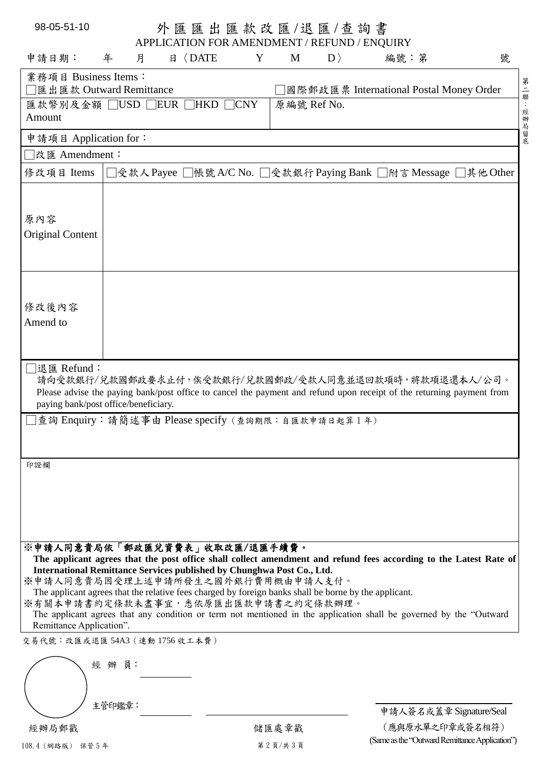| 98-05-51-10                                                                                                                                                                                                                                                                                                             |                  |                      |   |             | 外 匯 匯 出 匯 款 改 匯 /退 匯 / 查 詢 書 |                                                                                                                                                                                                                                         |           |
|-------------------------------------------------------------------------------------------------------------------------------------------------------------------------------------------------------------------------------------------------------------------------------------------------------------------------|------------------|----------------------|---|-------------|------------------------------|-----------------------------------------------------------------------------------------------------------------------------------------------------------------------------------------------------------------------------------------|-----------|
| 申請日期:                                                                                                                                                                                                                                                                                                                   | 年<br>月           | $\Box$ $\Box$ $\Box$ | Y | M           | $\ket{D}$                    | APPLICATION FOR AMENDMENT / REFUND / ENQUIRY<br>編號:第                                                                                                                                                                                    | 號         |
| 業務項目 Business Items:                                                                                                                                                                                                                                                                                                    |                  |                      |   |             |                              |                                                                                                                                                                                                                                         |           |
| 匯出匯款 Outward Remittance                                                                                                                                                                                                                                                                                                 |                  |                      |   |             |                              | 國際郵政匯票 International Postal Money Order                                                                                                                                                                                                 |           |
| 匯款幣別及金額 □USD □EUR □HKD □CNY<br>Amount                                                                                                                                                                                                                                                                                   |                  |                      |   | 原編號 Ref No. |                              |                                                                                                                                                                                                                                         | 第二聯:經辦局留底 |
| 申請項目 Application for:                                                                                                                                                                                                                                                                                                   |                  |                      |   |             |                              |                                                                                                                                                                                                                                         |           |
| 改匯 Amendment:                                                                                                                                                                                                                                                                                                           |                  |                      |   |             |                              |                                                                                                                                                                                                                                         |           |
| 修改項目 Items                                                                                                                                                                                                                                                                                                              |                  |                      |   |             |                              | □受款人Payee □帳號 A/C No. □受款銀行 Paying Bank □附言 Message □其他 Other                                                                                                                                                                           |           |
| 原内容<br>Original Content                                                                                                                                                                                                                                                                                                 |                  |                      |   |             |                              |                                                                                                                                                                                                                                         |           |
| 修改後內容<br>Amend to                                                                                                                                                                                                                                                                                                       |                  |                      |   |             |                              |                                                                                                                                                                                                                                         |           |
| ¯退匯 Refund:<br>paying bank/post office/beneficiary.<br>查詢 Enquiry: 請簡述事由 Please specify (查詢期限:自匯款申請日起算1年)                                                                                                                                                                                                               |                  |                      |   |             |                              | 請向受款銀行/兌款國郵政要求止付,俟受款銀行/兌款國郵政/受款人同意並退回款項時,將款項退還本人/公司。<br>Please advise the paying bank/post office to cancel the payment and refund upon receipt of the returning payment from                                                           |           |
|                                                                                                                                                                                                                                                                                                                         |                  |                      |   |             |                              |                                                                                                                                                                                                                                         |           |
| 印證欄                                                                                                                                                                                                                                                                                                                     |                  |                      |   |             |                              |                                                                                                                                                                                                                                         |           |
| ※申請人同意貴局依「郵政匯兌資費表」收取改匯/退匯手續費。<br>International Remittance Services published by Chunghwa Post Co., Ltd.<br>※申請人同意貴局因受理上述申請所發生之國外銀行費用概由申請人支付。<br>The applicant agrees that the relative fees charged by foreign banks shall be borne by the applicant.<br>※有關本申請書約定條款未盡事宜,悉依原匯出匯款申請書之約定條款辦理。<br>Remittance Application". |                  |                      |   |             |                              | The applicant agrees that the post office shall collect amendment and refund fees according to the Latest Rate of<br>The applicant agrees that any condition or term not mentioned in the application shall be governed by the "Outward |           |
| 交易代號:改匯或退匯54A3 (連動1756收工本費)                                                                                                                                                                                                                                                                                             |                  |                      |   |             |                              |                                                                                                                                                                                                                                         |           |
|                                                                                                                                                                                                                                                                                                                         | 經 辨 員:<br>主管印鑑章: |                      |   |             |                              |                                                                                                                                                                                                                                         |           |
| 經辦局郵戳                                                                                                                                                                                                                                                                                                                   |                  |                      |   |             |                              | 申請人簽名或蓋章 Signature/Seal                                                                                                                                                                                                                 |           |
|                                                                                                                                                                                                                                                                                                                         |                  |                      |   | 儲匯處章戳       |                              | (應與原水單之印章或簽名相符)                                                                                                                                                                                                                         |           |